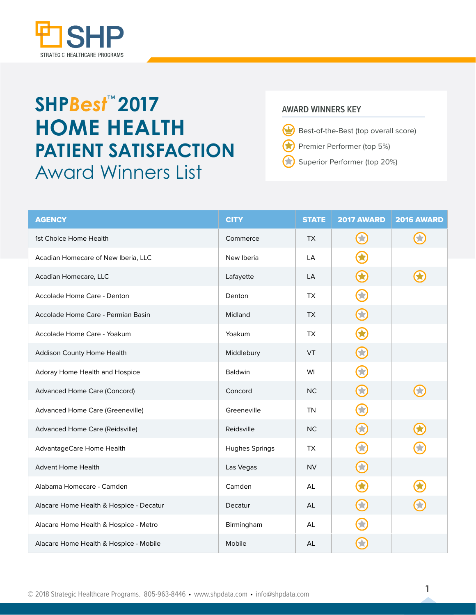

## **SHP***Best* **2017** ™ **HOME HEALTH PATIENT SATISFACTION**  Award Winners List

## **AWARD WINNERS KEY**

- $\bf \omega$ Best-of-the-Best (top overall score)
- Premier Performer (top 5%) 63
- Superior Performer (top 20%)

| <b>AGENCY</b>                           | <b>CITY</b>           | <b>STATE</b> | <b>2017 AWARD</b> | <b>2016 AWARD</b> |
|-----------------------------------------|-----------------------|--------------|-------------------|-------------------|
| 1st Choice Home Health                  | Commerce              | <b>TX</b>    | 53                |                   |
| Acadian Homecare of New Iberia, LLC     | New Iberia            | LA           |                   |                   |
| Acadian Homecare, LLC                   | Lafayette             | <b>LA</b>    | $\bf G$           |                   |
| Accolade Home Care - Denton             | Denton                | <b>TX</b>    | G                 |                   |
| Accolade Home Care - Permian Basin      | Midland               | <b>TX</b>    | $\bigodot$        |                   |
| Accolade Home Care - Yoakum             | Yoakum                | <b>TX</b>    |                   |                   |
| Addison County Home Health              | Middlebury            | VT           | $\bigodot$        |                   |
| Adoray Home Health and Hospice          | Baldwin               | WI           | 关                 |                   |
| <b>Advanced Home Care (Concord)</b>     | Concord               | <b>NC</b>    | $\bf C$           | 53                |
| Advanced Home Care (Greeneville)        | Greeneville           | <b>TN</b>    |                   |                   |
| Advanced Home Care (Reidsville)         | Reidsville            | <b>NC</b>    | 3                 |                   |
| AdvantageCare Home Health               | <b>Hughes Springs</b> | <b>TX</b>    | 文                 |                   |
| <b>Advent Home Health</b>               | Las Vegas             | <b>NV</b>    | $\bf C$           |                   |
| Alabama Homecare - Camden               | Camden                | AL           |                   |                   |
| Alacare Home Health & Hospice - Decatur | Decatur               | AL           | 3                 |                   |
| Alacare Home Health & Hospice - Metro   | Birmingham            | AL           |                   |                   |
| Alacare Home Health & Hospice - Mobile  | Mobile                | <b>AL</b>    |                   |                   |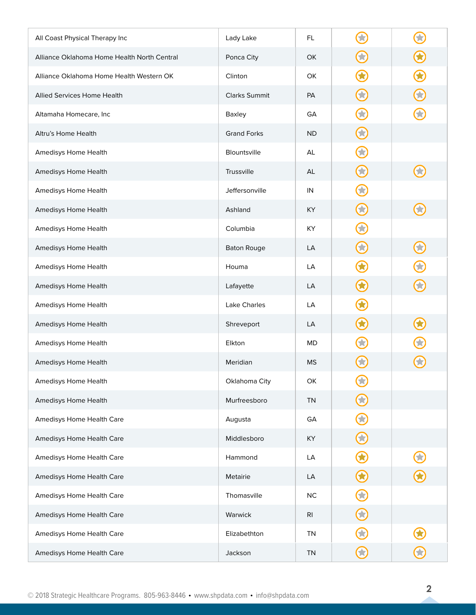| All Coast Physical Therapy Inc              | Lady Lake            | FL.       |                  |                  |
|---------------------------------------------|----------------------|-----------|------------------|------------------|
| Alliance Oklahoma Home Health North Central | Ponca City           | OK        | 53               | $\mathbf \Omega$ |
| Alliance Oklahoma Home Health Western OK    | Clinton              | OK        |                  | $\bigcirc$       |
| Allied Services Home Health                 | <b>Clarks Summit</b> | PA        | <b>SE</b>        | $\bf{C}$         |
| Altamaha Homecare, Inc                      | Baxley               | GA        |                  |                  |
| Altru's Home Health                         | <b>Grand Forks</b>   | <b>ND</b> | 53               |                  |
| Amedisys Home Health                        | Blountsville         | AL        |                  |                  |
| Amedisys Home Health                        | Trussville           | AL        | $\bf G$          | 文                |
| Amedisys Home Health                        | Jeffersonville       | IN        |                  |                  |
| Amedisys Home Health                        | Ashland              | KY        | $\mathbf{X}$     |                  |
| Amedisys Home Health                        | Columbia             | KY        |                  |                  |
| Amedisys Home Health                        | <b>Baton Rouge</b>   | LA        | 53               | $\bf C$          |
| Amedisys Home Health                        | Houma                | LA        |                  | C                |
| Amedisys Home Health                        | Lafayette            | LA        |                  | $\bigodot$       |
| Amedisys Home Health                        | Lake Charles         | LA        |                  |                  |
| Amedisys Home Health                        | Shreveport           | LA        |                  |                  |
| Amedisys Home Health                        | Elkton               | <b>MD</b> |                  |                  |
| Amedisys Home Health                        | Meridian             | <b>MS</b> |                  |                  |
| Amedisys Home Health                        | Oklahoma City        | OK        | $\bigodot$       |                  |
| Amedisys Home Health                        | Murfreesboro         | <b>TN</b> |                  |                  |
| Amedisys Home Health Care                   | Augusta              | GA        | $\bf G$          |                  |
| Amedisys Home Health Care                   | Middlesboro          | KY        | $\bigodot$       |                  |
| Amedisys Home Health Care                   | Hammond              | LA        | $\mathbf \Omega$ | $\bigcirc$       |
| Amedisys Home Health Care                   | Metairie             | LA        | $\bm{\omega}$    | $\bigcirc$       |
| Amedisys Home Health Care                   | Thomasville          | $NC$      | $\bigodot$       |                  |
| Amedisys Home Health Care                   | Warwick              | <b>RI</b> | $\bf C$          |                  |
| Amedisys Home Health Care                   | Elizabethton         | <b>TN</b> |                  |                  |
| Amedisys Home Health Care                   | Jackson              | <b>TN</b> | $\bf C$          | $\bigodot$       |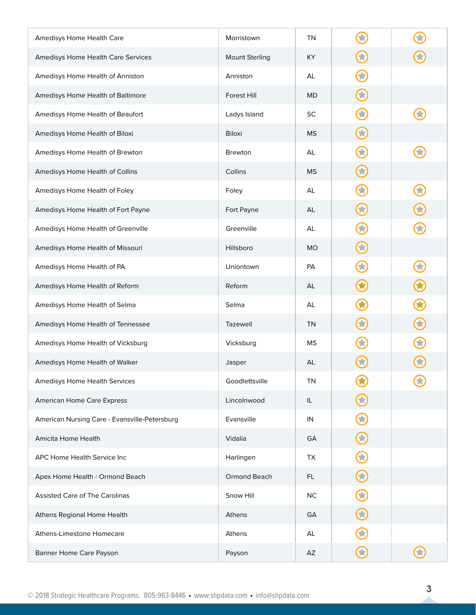| Amedisys Home Health Care                     | Morristown            | <b>TN</b> |              |               |
|-----------------------------------------------|-----------------------|-----------|--------------|---------------|
| Amedisys Home Health Care Services            | <b>Mount Sterling</b> | <b>KY</b> | 53           |               |
| Amedisys Home Health of Anniston              | Anniston              | AL        | 2            |               |
| Amedisys Home Health of Baltimore             | Forest Hill           | MD        | $\bf G$      |               |
| Amedisys Home Health of Beaufort              | Ladys Island          | SC        |              |               |
| Amedisys Home Health of Biloxi                | <b>Biloxi</b>         | <b>MS</b> |              |               |
| Amedisys Home Health of Brewton               | <b>Brewton</b>        | AL        |              |               |
| Amedisys Home Health of Collins               | Collins               | <b>MS</b> | 63           |               |
| Amedisys Home Health of Foley                 | Foley                 | AL        | 食            |               |
| Amedisys Home Health of Fort Payne            | Fort Payne            | AL        | 63           | 3             |
| Amedisys Home Health of Greenville            | Greenville            | AL        |              |               |
| Amedisys Home Health of Missouri              | Hillsboro             | <b>MO</b> | 53           |               |
| Amedisys Home Health of PA                    | Uniontown             | PA        |              |               |
| Amedisys Home Health of Reform                | Reform                | AL        | $\bf G$      | $\bigcirc$    |
| Amedisys Home Health of Selma                 | Selma                 | AL        |              | $\bigcirc$    |
| Amedisys Home Health of Tennessee             | Tazewell              | <b>TN</b> |              | $\bm{\Theta}$ |
| Amedisys Home Health of Vicksburg             | Vicksburg             | <b>MS</b> |              |               |
| Amedisys Home Health of Walker                | Jasper                | AL        |              |               |
| Amedisys Home Health Services                 | Goodlettsville        | <b>TN</b> | W            |               |
| American Home Care Express                    | Lincolnwood           | IL        |              |               |
| American Nursing Care - Evansville-Petersburg | Evansville            | IN        | $\bigstar$   |               |
| Amicita Home Health                           | Vidalia               | GA        | $\bf G$      |               |
| APC Home Health Service Inc                   | Harlingen             | TX        | 3            |               |
| Apex Home Health - Ormond Beach               | Ormond Beach          | FL.       | $\bigodot$   |               |
| <b>Assisted Care of The Carolinas</b>         | Snow Hill             | <b>NC</b> | 3            |               |
| Athens Regional Home Health                   | Athens                | GA        | $\bigodot$   |               |
| Athens-Limestone Homecare                     | Athens                | AL        |              |               |
| Banner Home Care Payson                       | Payson                | AZ        | $\mathbf{Z}$ |               |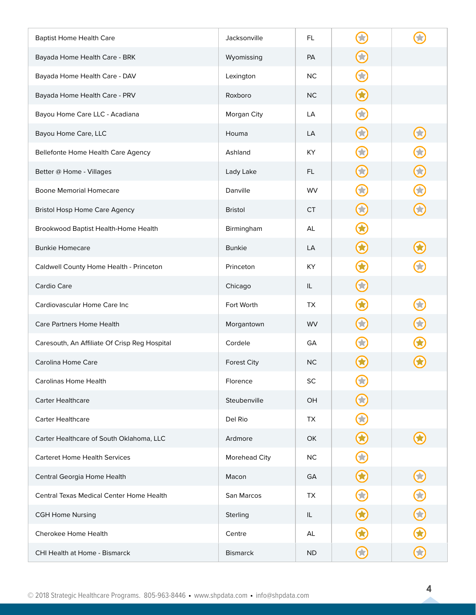| <b>Baptist Home Health Care</b>               | Jacksonville       | FL.       |              |               |
|-----------------------------------------------|--------------------|-----------|--------------|---------------|
| Bayada Home Health Care - BRK                 | Wyomissing         | PA        | 53           |               |
| Bayada Home Health Care - DAV                 | Lexington          | <b>NC</b> | 3            |               |
| Bayada Home Health Care - PRV                 | Roxboro            | NC.       | $\bf G$      |               |
| Bayou Home Care LLC - Acadiana                | Morgan City        | LA        |              |               |
| Bayou Home Care, LLC                          | Houma              | LA        | 53           | 3             |
| Bellefonte Home Health Care Agency            | Ashland            | KY        |              | $\bf G$       |
| Better @ Home - Villages                      | Lady Lake          | FL.       | 53           | $\bigodot$    |
| <b>Boone Memorial Homecare</b>                | Danville           | <b>WV</b> |              | 3             |
| <b>Bristol Hosp Home Care Agency</b>          | <b>Bristol</b>     | <b>CT</b> | 63           | $\bf C$       |
| Brookwood Baptist Health-Home Health          | Birmingham         | AL        |              |               |
| <b>Bunkie Homecare</b>                        | <b>Bunkie</b>      | LA        | O            |               |
| Caldwell County Home Health - Princeton       | Princeton          | KY        |              |               |
| Cardio Care                                   | Chicago            | IL        | 63           |               |
| Cardiovascular Home Care Inc                  | Fort Worth         | TX        |              |               |
| Care Partners Home Health                     | Morgantown         | WV        |              | $\bigodot$    |
| Caresouth, An Affiliate Of Crisp Reg Hospital | Cordele            | GA        |              |               |
| Carolina Home Care                            | <b>Forest City</b> | <b>NC</b> |              |               |
| Carolinas Home Health                         | Florence           | <b>SC</b> | O            |               |
| <b>Carter Healthcare</b>                      | Steubenville       | OH        | 53           |               |
| <b>Carter Healthcare</b>                      | Del Rio            | TX        | 文            |               |
| Carter Healthcare of South Oklahoma, LLC      | Ardmore            | OK        | $\bf \Omega$ |               |
| <b>Carteret Home Health Services</b>          | Morehead City      | <b>NC</b> | 3            |               |
| Central Georgia Home Health                   | Macon              | GA        | 3            | $\bigodot$    |
| Central Texas Medical Center Home Health      | San Marcos         | TX        |              | $\bigcirc$    |
| <b>CGH Home Nursing</b>                       | Sterling           | IL        | <b>C3</b>    | $\bigcirc$    |
| Cherokee Home Health                          | Centre             | AL        |              | $\bigcirc$    |
| CHI Health at Home - Bismarck                 | <b>Bismarck</b>    | <b>ND</b> | $\mathbf{Z}$ | $\bm{\Theta}$ |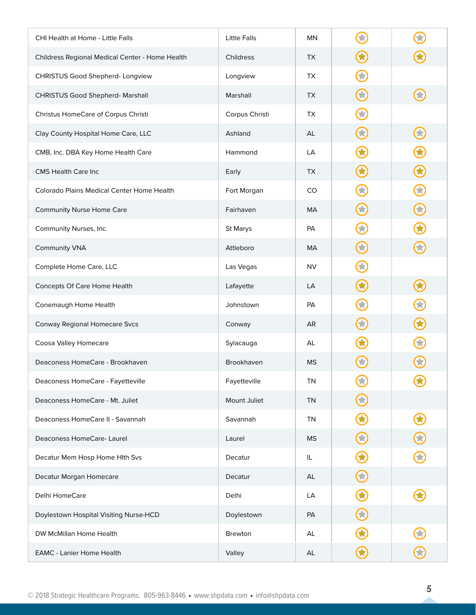| CHI Health at Home - Little Falls               | <b>Little Falls</b> | MN        |                       |              |
|-------------------------------------------------|---------------------|-----------|-----------------------|--------------|
| Childress Regional Medical Center - Home Health | Childress           | TX.       | O                     |              |
| CHRISTUS Good Shepherd- Longview                | Longview            | <b>TX</b> |                       |              |
| <b>CHRISTUS Good Shepherd- Marshall</b>         | Marshall            | TX        | 53                    |              |
| Christus HomeCare of Corpus Christi             | Corpus Christi      | TX.       |                       |              |
| Clay County Hospital Home Care, LLC             | Ashland             | AL        | 63                    | 3            |
| CMB, Inc. DBA Key Home Health Care              | Hammond             | LA        |                       |              |
| CMS Health Care Inc                             | Early               | <b>TX</b> | 63                    | $\bigcirc$   |
| Colorado Plains Medical Center Home Health      | Fort Morgan         | CO        | $\bigstar$            | $\bigodot$   |
| <b>Community Nurse Home Care</b>                | Fairhaven           | MA        | 63                    | $\bigodot$   |
| Community Nurses, Inc.                          | St Marys            | PA        | 53                    | 3            |
| Community VNA                                   | Attleboro           | MA        | 63                    | $\bf C$      |
| Complete Home Care, LLC                         | Las Vegas           | <b>NV</b> | $\blacktriangleright$ |              |
| Concepts Of Care Home Health                    | Lafayette           | LA        | 3                     | 3            |
| Conemaugh Home Health                           | Johnstown           | PA        |                       |              |
| Conway Regional Homecare Svcs                   | Conway              | AR        | 53                    | $\bigcirc$   |
| Coosa Valley Homecare                           | Sylacauga           | AL        |                       |              |
| Deaconess HomeCare - Brookhaven                 | Brookhaven          | <b>MS</b> |                       |              |
| Deaconess HomeCare - Fayetteville               | Fayetteville        | <b>TN</b> | 3                     |              |
| Deaconess HomeCare - Mt. Juliet                 | Mount Juliet        | <b>TN</b> |                       |              |
| Deaconess HomeCare II - Savannah                | Savannah            | <b>TN</b> |                       | $\bigcirc$   |
| Deaconess HomeCare-Laurel                       | Laurel              | <b>MS</b> | $\bigodot$            | $\bm{\odot}$ |
| Decatur Mem Hosp Home Hith Svs                  | Decatur             | IL        | 3                     | $\bigodot$   |
| Decatur Morgan Homecare                         | Decatur             | AL        | $\bigodot$            |              |
| Delhi HomeCare                                  | Delhi               | LA        |                       |              |
| Doylestown Hospital Visiting Nurse-HCD          | Doylestown          | PA        | 3                     |              |
| DW McMillan Home Health                         | <b>Brewton</b>      | AL        |                       |              |
| <b>EAMC - Lanier Home Health</b>                | Valley              | AL        | $\mathbf \Omega$      | $\bigodot$   |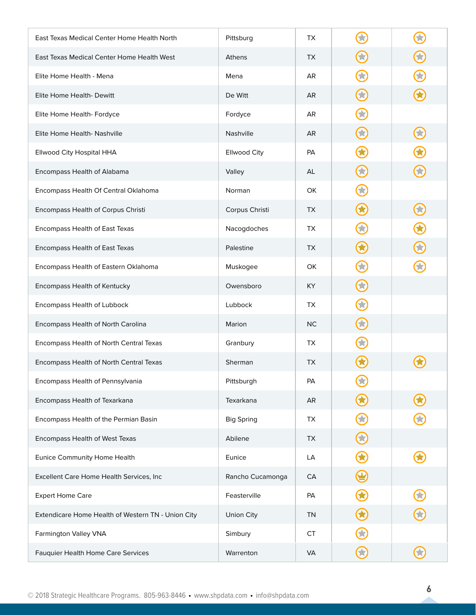| East Texas Medical Center Home Health North        | Pittsburg         | TX.       |                   |            |
|----------------------------------------------------|-------------------|-----------|-------------------|------------|
| East Texas Medical Center Home Health West         | Athens            | <b>TX</b> | <b>The Second</b> | 3          |
| Elite Home Health - Mena                           | Mena              | AR        |                   |            |
| Elite Home Health- Dewitt                          | De Witt           | AR.       | <b>Ski</b>        |            |
| Elite Home Health- Fordyce                         | Fordyce           | AR        |                   |            |
| Elite Home Health- Nashville                       | Nashville         | <b>AR</b> | 53                | 3          |
| Ellwood City Hospital HHA                          | Ellwood City      | <b>PA</b> |                   |            |
| Encompass Health of Alabama                        | Valley            | AL        | 53                |            |
| Encompass Health Of Central Oklahoma               | Norman            | <b>OK</b> |                   |            |
| Encompass Health of Corpus Christi                 | Corpus Christi    | <b>TX</b> | Œ                 | 63         |
| Encompass Health of East Texas                     | Nacogdoches       | TX.       |                   | $\bigcirc$ |
| Encompass Health of East Texas                     | Palestine         | TX.       | 83                | $\bigodot$ |
| Encompass Health of Eastern Oklahoma               | Muskogee          | OK        |                   |            |
| Encompass Health of Kentucky                       | Owensboro         | KY.       | 贪                 |            |
| Encompass Health of Lubbock                        | Lubbock           | TX.       |                   |            |
| Encompass Health of North Carolina                 | Marion            | NC        | 3                 |            |
| Encompass Health of North Central Texas            | Granbury          | TX.       |                   |            |
| Encompass Health of North Central Texas            | Sherman           | <b>TX</b> |                   |            |
| Encompass Health of Pennsylvania                   | Pittsburgh        | PA        | 53                |            |
| Encompass Health of Texarkana                      | Texarkana         | AR        |                   |            |
| Encompass Health of the Permian Basin              | <b>Big Spring</b> | TX        | 3                 |            |
| Encompass Health of West Texas                     | Abilene           | TX        | $\bigodot$        |            |
| Eunice Community Home Health                       | Eunice            | LA        | 3                 |            |
| Excellent Care Home Health Services, Inc           | Rancho Cucamonga  | CA        |                   |            |
| <b>Expert Home Care</b>                            | Feasterville      | PA        |                   | 0          |
| Extendicare Home Health of Western TN - Union City | Union City        | <b>TN</b> | Œ                 | $\bigodot$ |
| Farmington Valley VNA                              | Simbury           | <b>CT</b> |                   |            |
| Fauquier Health Home Care Services                 | Warrenton         | <b>VA</b> | $\bf C$           | 0          |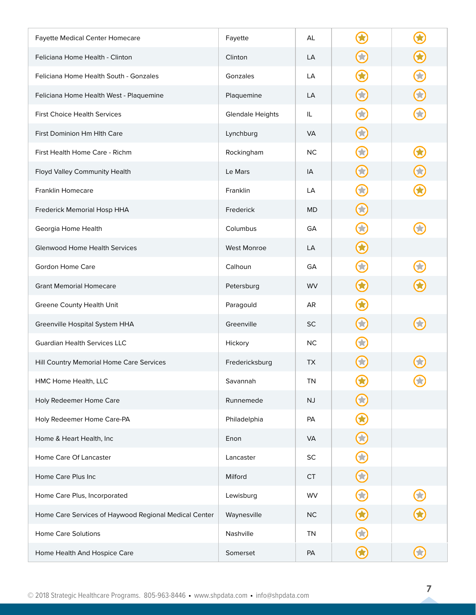| Fayette Medical Center Homecare                       | Fayette                 | AL        |                       |            |
|-------------------------------------------------------|-------------------------|-----------|-----------------------|------------|
| Feliciana Home Health - Clinton                       | Clinton                 | LA        | 53                    | $\bigcirc$ |
| Feliciana Home Health South - Gonzales                | Gonzales                | LA        |                       | G          |
| Feliciana Home Health West - Plaquemine               | Plaquemine              | LA        | 63                    | $\bf{O}$   |
| <b>First Choice Health Services</b>                   | <b>Glendale Heights</b> | IL        |                       |            |
| First Dominion Hm Hlth Care                           | Lynchburg               | <b>VA</b> | 3                     |            |
| First Health Home Care - Richm                        | Rockingham              | <b>NC</b> | 贪                     |            |
| Floyd Valley Community Health                         | Le Mars                 | IA        | 63                    | 3          |
| Franklin Homecare                                     | Franklin                | LA        |                       |            |
| Frederick Memorial Hosp HHA                           | Frederick               | <b>MD</b> | 53                    |            |
| Georgia Home Health                                   | Columbus                | GA        | 2                     |            |
| <b>Glenwood Home Health Services</b>                  | <b>West Monroe</b>      | LA        | 6                     |            |
| Gordon Home Care                                      | Calhoun                 | GA        | $\blacktriangleright$ |            |
| <b>Grant Memorial Homecare</b>                        | Petersburg              | <b>WV</b> | 63                    |            |
| Greene County Health Unit                             | Paragould               | AR        |                       |            |
| Greenville Hospital System HHA                        | Greenville              | <b>SC</b> | 文                     |            |
| Guardian Health Services LLC                          | Hickory                 | NC.       |                       |            |
| Hill Country Memorial Home Care Services              | Fredericksburg          | TX        |                       |            |
| HMC Home Health, LLC                                  | Savannah                | <b>TN</b> | IJ                    |            |
| Holy Redeemer Home Care                               | Runnemede               | NJ        |                       |            |
| Holy Redeemer Home Care-PA                            | Philadelphia            | PA        |                       |            |
| Home & Heart Health, Inc                              | Enon                    | <b>VA</b> | $\bigodot$            |            |
| Home Care Of Lancaster                                | Lancaster               | SC        | 3                     |            |
| Home Care Plus Inc                                    | Milford                 | <b>CT</b> | $\bigodot$            |            |
| Home Care Plus, Incorporated                          | Lewisburg               | WV        | 33                    | $\bigodot$ |
| Home Care Services of Haywood Regional Medical Center | Waynesville             | <b>NC</b> |                       |            |
| <b>Home Care Solutions</b>                            | Nashville               | <b>TN</b> |                       |            |
| Home Health And Hospice Care                          | Somerset                | PA        | $\bf C$               | $\bigodot$ |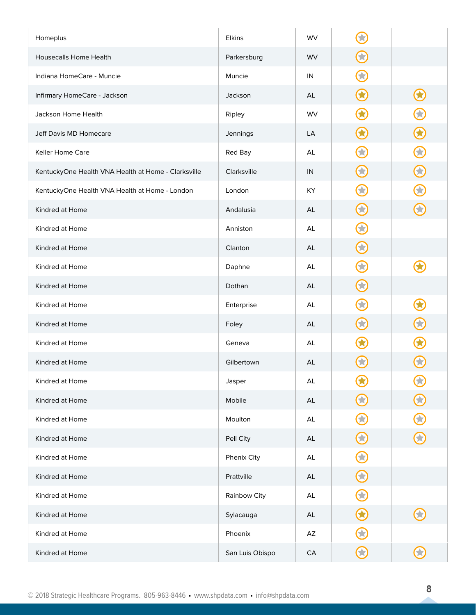| Homeplus                                            | Elkins          | WV            |                         |               |
|-----------------------------------------------------|-----------------|---------------|-------------------------|---------------|
| <b>Housecalls Home Health</b>                       | Parkersburg     | <b>WV</b>     | $\bigodot$              |               |
| Indiana HomeCare - Muncie                           | Muncie          | IN            | 2                       |               |
| Infirmary HomeCare - Jackson                        | Jackson         | AL            | $\hat{\mathbf{\Phi}}$   | $\bigodot$    |
| Jackson Home Health                                 | Ripley          | WV            |                         | C             |
| Jeff Davis MD Homecare                              | Jennings        | LA            | 3                       | $\bigcirc$    |
| <b>Keller Home Care</b>                             | Red Bay         | AL            | ×                       | $\bigodot$    |
| KentuckyOne Health VNA Health at Home - Clarksville | Clarksville     | IN            | 63                      | $\bm{\Theta}$ |
| KentuckyOne Health VNA Health at Home - London      | London          | KY            | 食                       | 2             |
| Kindred at Home                                     | Andalusia       | AL            | 63                      |               |
| Kindred at Home                                     | Anniston        | AL            | 63                      |               |
| Kindred at Home                                     | Clanton         | AL            | $\bf G$                 |               |
| Kindred at Home                                     | Daphne          | AL            | $\blacktriangleright$   |               |
| Kindred at Home                                     | Dothan          | AL            | 63                      |               |
| Kindred at Home                                     | Enterprise      | AL            |                         |               |
| Kindred at Home                                     | Foley           | AL            | 3                       | $\mathbf G$   |
| Kindred at Home                                     | Geneva          | AL            |                         |               |
| Kindred at Home                                     | Gilbertown      | AL            |                         |               |
| Kindred at Home                                     | Jasper          | $\mathsf{AL}$ | 63                      | $\bigodot$    |
| Kindred at Home                                     | Mobile          | $\mathsf{AL}$ | 63                      | $\bm{\odot}$  |
| Kindred at Home                                     | Moulton         | $\mathsf{AL}$ | 3                       | $\bigcirc$    |
| Kindred at Home                                     | Pell City       | AL            | $\bigodot$              | $\bm{\odot}$  |
| Kindred at Home                                     | Phenix City     | AL            | $\hat{\mathbf{\Theta}}$ |               |
| Kindred at Home                                     | Prattville      | AL            | $\bm{\Theta}$           |               |
| Kindred at Home                                     | Rainbow City    | $\mathsf{AL}$ | 63                      |               |
| Kindred at Home                                     | Sylacauga       | AL            | $\bigodot$              | $\bigodot$    |
| Kindred at Home                                     | Phoenix         | AZ            |                         |               |
| Kindred at Home                                     | San Luis Obispo | ${\sf CA}$    | $\mathbf C$             | $\bigodot$    |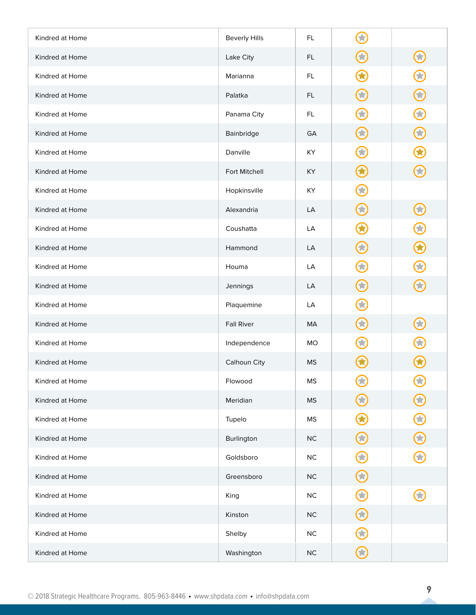| Kindred at Home | <b>Beverly Hills</b> | FL.       |            |              |
|-----------------|----------------------|-----------|------------|--------------|
| Kindred at Home | Lake City            | FL.       | <b>SE</b>  | $\bigodot$   |
| Kindred at Home | Marianna             | FL.       |            |              |
| Kindred at Home | Palatka              | FL.       | 53         | $\mathbf C$  |
| Kindred at Home | Panama City          | FL        |            | $\bf G$      |
| Kindred at Home | Bainbridge           | GA        | 63         | $\bigodot$   |
| Kindred at Home | Danville             | KY        | ★          |              |
| Kindred at Home | Fort Mitchell        | KY        | 3          |              |
| Kindred at Home | Hopkinsville         | KY        | 53         |              |
| Kindred at Home | Alexandria           | LA        | 3          | $\bigodot$   |
| Kindred at Home | Coushatta            | LA        |            | $\bigodot$   |
| Kindred at Home | Hammond              | LA        | 63         | $\bigcirc$   |
| Kindred at Home | Houma                | LA        |            |              |
| Kindred at Home | Jennings             | LA        | 3          | $\bf G$      |
| Kindred at Home | Plaquemine           | LA        |            |              |
| Kindred at Home | <b>Fall River</b>    | MA        | $\bf G$    | 3            |
| Kindred at Home | Independence         | <b>MO</b> |            |              |
| Kindred at Home | Calhoun City         | <b>MS</b> |            |              |
| Kindred at Home | Flowood              | <b>MS</b> | 3          | $\bigodot$   |
| Kindred at Home | Meridian             | <b>MS</b> | 3          | $\bm{\odot}$ |
| Kindred at Home | Tupelo               | <b>MS</b> | 3          | $\bigcirc$   |
| Kindred at Home | Burlington           | $NC$      | $\bigodot$ | $\bigcirc$   |
| Kindred at Home | Goldsboro            | $NC$      | 53         | $\bigodot$   |
| Kindred at Home | Greensboro           | $NC$      | $\bf G$    |              |
| Kindred at Home | King                 | NC        | 文          |              |
| Kindred at Home | Kinston              | $NC$      | $\bf C$    |              |
| Kindred at Home | Shelby               | NC        |            |              |
| Kindred at Home | Washington           | NC        | $\bf C$    |              |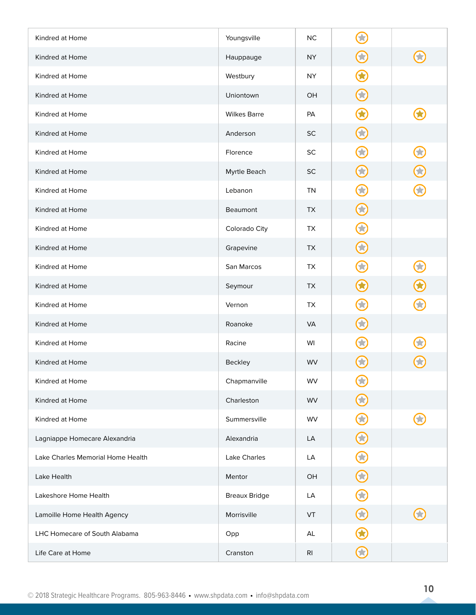| Kindred at Home                   | Youngsville          | <b>NC</b>      |               |            |
|-----------------------------------|----------------------|----------------|---------------|------------|
| Kindred at Home                   | Hauppauge            | <b>NY</b>      | $\bigodot$    |            |
| Kindred at Home                   | Westbury             | <b>NY</b>      |               |            |
| Kindred at Home                   | Uniontown            | OH             | 63            |            |
| Kindred at Home                   | <b>Wilkes Barre</b>  | PA             |               |            |
| Kindred at Home                   | Anderson             | $\sf SC$       | 3             |            |
| Kindred at Home                   | Florence             | SC             | 文             | 33         |
| Kindred at Home                   | Myrtle Beach         | <b>SC</b>      | 3             | $\bf O$    |
| Kindred at Home                   | Lebanon              | <b>TN</b>      | 贪             |            |
| Kindred at Home                   | <b>Beaumont</b>      | <b>TX</b>      | 3             |            |
| Kindred at Home                   | Colorado City        | <b>TX</b>      | 3             |            |
| Kindred at Home                   | Grapevine            | <b>TX</b>      | 63            |            |
| Kindred at Home                   | San Marcos           | TX             | $\bigstar$    | $\bigodot$ |
| Kindred at Home                   | Seymour              | TX             |               |            |
| Kindred at Home                   | Vernon               | TX             |               |            |
| Kindred at Home                   | Roanoke              | <b>VA</b>      | 3             |            |
| Kindred at Home                   | Racine               | WI             |               |            |
| Kindred at Home                   | Beckley              | <b>WV</b>      |               |            |
| Kindred at Home                   | Chapmanville         | WV             | $\bigodot$    |            |
| Kindred at Home                   | Charleston           | WV             |               |            |
| Kindred at Home                   | Summersville         | WV             | $\bigodot$    |            |
| Lagniappe Homecare Alexandria     | Alexandria           | LA             | $\bm{\Theta}$ |            |
| Lake Charles Memorial Home Health | Lake Charles         | LA             | $\bigodot$    |            |
| Lake Health                       | Mentor               | OH             | $\bigodot$    |            |
| Lakeshore Home Health             | <b>Breaux Bridge</b> | LA             | 3             |            |
| Lamoille Home Health Agency       | Morrisville          | VT             | $\bf C$       | 53         |
| LHC Homecare of South Alabama     | Opp                  | AL             |               |            |
| Life Care at Home                 | Cranston             | R <sub>l</sub> | $\bf C$       |            |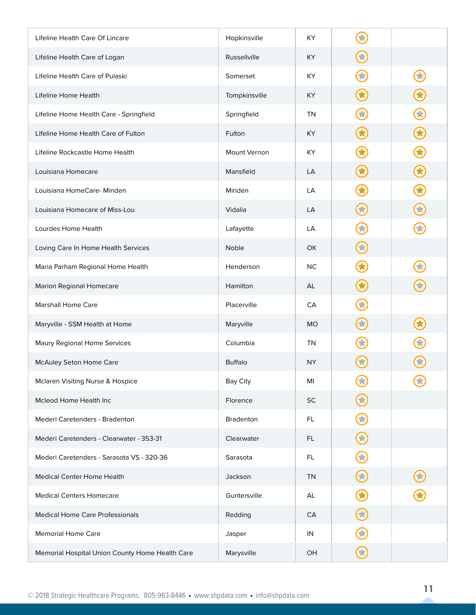| Lifeline Health Care Of Lincare                 | Hopkinsville    | KY        |               |               |
|-------------------------------------------------|-----------------|-----------|---------------|---------------|
| Lifeline Health Care of Logan                   | Russellville    | KY.       | 贪             |               |
| Lifeline Health Care of Pulaski                 | Somerset        | KY        |               |               |
| Lifeline Home Health                            | Tompkinsville   | <b>KY</b> |               |               |
| Lifeline Home Health Care - Springfield         | Springfield     | TN        |               | C             |
| Lifeline Home Health Care of Fulton             | Fulton          | <b>KY</b> |               | $\mathbf G$   |
| Lifeline Rockcastle Home Health                 | Mount Vernon    | KY        |               | $\Omega$      |
| Louisiana Homecare                              | Mansfield       | LA        | 3             | $\bigodot$    |
| Louisiana HomeCare- Minden                      | Minden          | LA        |               | $\bigcirc$    |
| Louisiana Homecare of Miss-Lou                  | Vidalia         | LA        | $\mathcal{L}$ | $\bf C$       |
| Lourdes Home Health                             | Lafayette       | LA        |               |               |
| Loving Care In Home Health Services             | Noble           | OK        | 53            |               |
| Maria Parham Regional Home Health               | Henderson       | <b>NC</b> |               |               |
| <b>Marion Regional Homecare</b>                 | Hamilton        | AL        |               |               |
| <b>Marshall Home Care</b>                       | Placerville     | CA        |               |               |
| Maryville - SSM Health at Home                  | Maryville       | <b>MO</b> |               |               |
| Maury Regional Home Services                    | Columbia        | <b>TN</b> |               |               |
| McAuley Seton Home Care                         | <b>Buffalo</b>  | <b>NY</b> |               |               |
| Mclaren Visiting Nurse & Hospice                | <b>Bay City</b> | MI        | 文             |               |
| Mcleod Home Health Inc                          | Florence        | SC        |               |               |
| Mederi Caretenders - Bradenton                  | Bradenton       | FL.       | 3             |               |
| Mederi Caretenders - Clearwater - 353-31        | Clearwater      | <b>FL</b> | $\bf{O}$      |               |
| Mederi Caretenders - Sarasota VS - 320-36       | Sarasota        | FL        | 33            |               |
| Medical Center Home Health                      | Jackson         | <b>TN</b> | $\bf G$       | $\bm{\omega}$ |
| <b>Medical Centers Homecare</b>                 | Guntersville    | AL        |               |               |
| <b>Medical Home Care Professionals</b>          | Redding         | CA        | $\bf G$       |               |
| <b>Memorial Home Care</b>                       | Jasper          | IN        |               |               |
| Memorial Hospital Union County Home Health Care | Marysville      | OH        | $\bf C$       |               |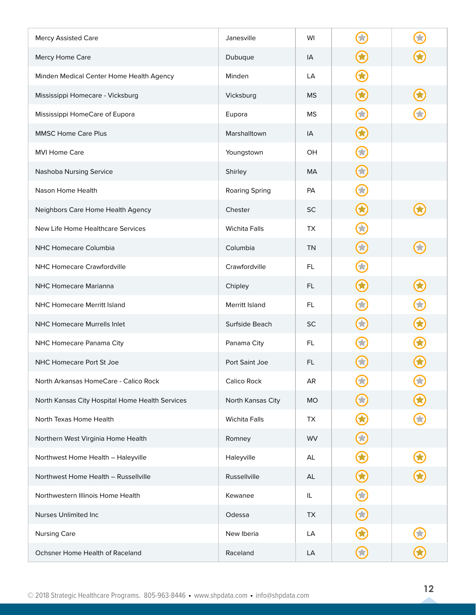| <b>Mercy Assisted Care</b>                      | Janesville           | WI        |              |            |
|-------------------------------------------------|----------------------|-----------|--------------|------------|
| Mercy Home Care                                 | Dubuque              | IA        | 63           |            |
| Minden Medical Center Home Health Agency        | Minden               | LA        |              |            |
| Mississippi Homecare - Vicksburg                | Vicksburg            | <b>MS</b> | 6            |            |
| Mississippi HomeCare of Eupora                  | Eupora               | <b>MS</b> |              |            |
| <b>MMSC Home Care Plus</b>                      | Marshalltown         | IA        |              |            |
| <b>MVI Home Care</b>                            | Youngstown           | OH        |              |            |
| Nashoba Nursing Service                         | Shirley              | MA        | $\bf G$      |            |
| Nason Home Health                               | Roaring Spring       | PA        | $\bigstar$   |            |
| Neighbors Care Home Health Agency               | Chester              | SC        | 0            |            |
| New Life Home Healthcare Services               | <b>Wichita Falls</b> | <b>TX</b> | $\mathbf{r}$ |            |
| NHC Homecare Columbia                           | Columbia             | <b>TN</b> | 3            |            |
| <b>NHC Homecare Crawfordville</b>               | Crawfordville        | FL.       |              |            |
| NHC Homecare Marianna                           | Chipley              | FL.       | O            | O          |
| <b>NHC Homecare Merritt Island</b>              | Merritt Island       | FL.       |              |            |
| NHC Homecare Murrells Inlet                     | Surfside Beach       | <b>SC</b> |              | $\bigcirc$ |
| NHC Homecare Panama City                        | Panama City          | FL.       |              |            |
| NHC Homecare Port St Joe                        | Port Saint Joe       | FL.       |              |            |
| North Arkansas HomeCare - Calico Rock           | Calico Rock          | AR        | 33           | $\bf C$    |
| North Kansas City Hospital Home Health Services | North Kansas City    | <b>MO</b> | 贪            | 3          |
| North Texas Home Health                         | <b>Wichita Falls</b> | TX        |              |            |
| Northern West Virginia Home Health              | Romney               | WV        | $\bigodot$   |            |
| Northwest Home Health - Haleyville              | Haleyville           | AL        | $\bf \Omega$ | $\bigcirc$ |
| Northwest Home Health - Russellville            | Russellville         | AL        | $\bigcirc$   | $\bigcirc$ |
| Northwestern Illinois Home Health               | Kewanee              | IL        | 3            |            |
| Nurses Unlimited Inc                            | Odessa               | <b>TX</b> | $\Omega$     |            |
| <b>Nursing Care</b>                             | New Iberia           | LA        |              |            |
| Ochsner Home Health of Raceland                 | Raceland             | LA        | $\bf C$      | $\bigcirc$ |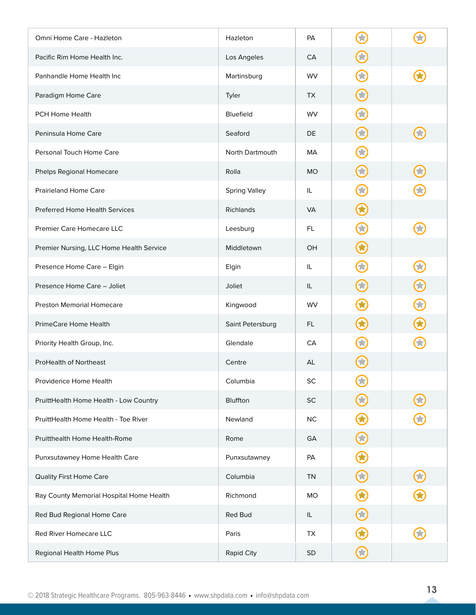| Omni Home Care - Hazleton                | Hazleton             | <b>PA</b> |              |            |
|------------------------------------------|----------------------|-----------|--------------|------------|
| Pacific Rim Home Health Inc.             | Los Angeles          | CA        | $\mathbf{X}$ |            |
| Panhandle Home Health Inc                | Martinsburg          | <b>WV</b> | Ŧ            |            |
| Paradigm Home Care                       | Tyler                | <b>TX</b> | 3            |            |
| PCH Home Health                          | Bluefield            | <b>WV</b> |              |            |
| Peninsula Home Care                      | Seaford              | DE        | 33           |            |
| Personal Touch Home Care                 | North Dartmouth      | MA        |              |            |
| Phelps Regional Homecare                 | Rolla                | <b>MO</b> | 63           |            |
| <b>Prairieland Home Care</b>             | <b>Spring Valley</b> | IL.       |              |            |
| <b>Preferred Home Health Services</b>    | Richlands            | <b>VA</b> | O            |            |
| <b>Premier Care Homecare LLC</b>         | Leesburg             | FL.       | 贪            |            |
| Premier Nursing, LLC Home Health Service | Middletown           | OH        | 3            |            |
| Presence Home Care - Elgin               | Elgin                | IL        |              |            |
| Presence Home Care - Joliet              | Joliet               | IL        | 53           | $\bigodot$ |
| <b>Preston Memorial Homecare</b>         | Kingwood             | <b>WV</b> |              | $\bigcirc$ |
| PrimeCare Home Health                    | Saint Petersburg     | FL.       |              |            |
| Priority Health Group, Inc.              | Glendale             | CA        |              |            |
| ProHealth of Northeast                   | Centre               | AL        |              |            |
| Providence Home Health                   | Columbia             | SC        | O            |            |
| PruittHealth Home Health - Low Country   | Bluffton             | $\sf SC$  |              | 0          |
| PruittHealth Home Health - Toe River     | Newland              | $NC$      |              |            |
| Pruitthealth Home Health-Rome            | Rome                 | GA        | $\bigodot$   |            |
| Punxsutawney Home Health Care            | Punxsutawney         | PA        | $\bigodot$   |            |
| <b>Quality First Home Care</b>           | Columbia             | <b>TN</b> | $\bigodot$   | $\bigodot$ |
| Ray County Memorial Hospital Home Health | Richmond             | MO        |              |            |
| Red Bud Regional Home Care               | Red Bud              | IL        | 63           |            |
| Red River Homecare LLC                   | Paris                | TX        |              |            |
| Regional Health Home Plus                | Rapid City           | <b>SD</b> | $\bf C$      |            |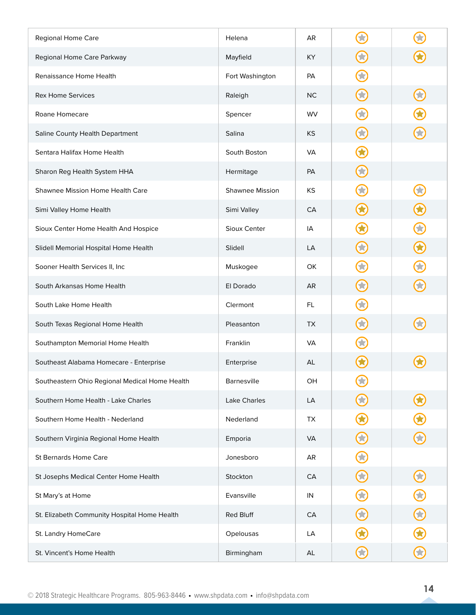| Regional Home Care                             | Helena          | AR         |                         |              |
|------------------------------------------------|-----------------|------------|-------------------------|--------------|
| Regional Home Care Parkway                     | Mayfield        | KY         | 53                      |              |
| Renaissance Home Health                        | Fort Washington | <b>PA</b>  | £                       |              |
| <b>Rex Home Services</b>                       | Raleigh         | <b>NC</b>  | 63                      | 0            |
| Roane Homecare                                 | Spencer         | WV         |                         |              |
| Saline County Health Department                | Salina          | KS         | $\overline{\mathbf{X}}$ |              |
| Sentara Halifax Home Health                    | South Boston    | <b>VA</b>  |                         |              |
| Sharon Reg Health System HHA                   | Hermitage       | PA         | 63                      |              |
| Shawnee Mission Home Health Care               | Shawnee Mission | KS         | $\blacktriangleright$   |              |
| Simi Valley Home Health                        | Simi Valley     | CA         | <b>C3</b>               | $\bigodot$   |
| Sioux Center Home Health And Hospice           | Sioux Center    | IA         |                         | $\bigodot$   |
| Slidell Memorial Hospital Home Health          | Slidell         | LA         | 63                      | $\bigcirc$   |
| Sooner Health Services II, Inc                 | Muskogee        | OK         | $\blacktriangleright$   | $\bigodot$   |
| South Arkansas Home Health                     | El Dorado       | AR         | 3                       | $\bigodot$   |
| South Lake Home Health                         | Clermont        | FL.        |                         |              |
| South Texas Regional Home Health               | Pleasanton      | TX         |                         |              |
| Southampton Memorial Home Health               | Franklin        | VA         |                         |              |
| Southeast Alabama Homecare - Enterprise        | Enterprise      | AL         |                         |              |
| Southeastern Ohio Regional Medical Home Health | Barnesville     | OH         | $\bf G$                 |              |
| Southern Home Health - Lake Charles            | Lake Charles    | LA         | 53                      | $\bigcirc$   |
| Southern Home Health - Nederland               | Nederland       | TX         | O                       | $\bigcirc$   |
| Southern Virginia Regional Home Health         | Emporia         | <b>VA</b>  | $\bf{O}$                | $\bigodot$   |
| St Bernards Home Care                          | Jonesboro       | AR         | $\bf G$                 |              |
| St Josephs Medical Center Home Health          | Stockton        | CA         | $\bigodot$              | $\bigodot$   |
| St Mary's at Home                              | Evansville      | IN         | $\Theta$                | $\bigcirc$   |
| St. Elizabeth Community Hospital Home Health   | Red Bluff       | ${\sf CA}$ | 6                       | $\bigcirc$   |
| St. Landry HomeCare                            | Opelousas       | LA         |                         | $\bigcirc$   |
| St. Vincent's Home Health                      | Birmingham      | AL         | $\bf C$                 | $\bm{\odot}$ |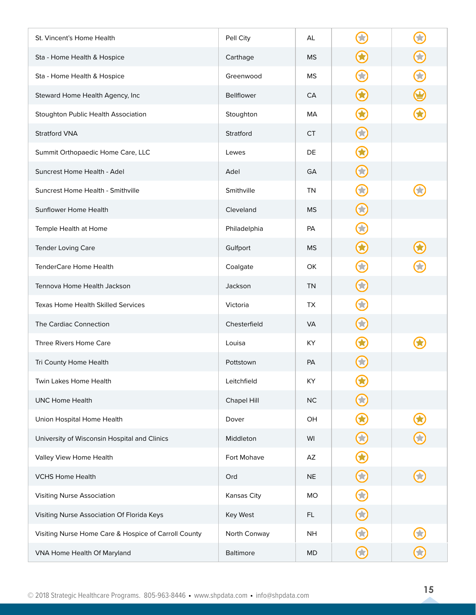| St. Vincent's Home Health                            | Pell City         | AL        |                       |               |
|------------------------------------------------------|-------------------|-----------|-----------------------|---------------|
| Sta - Home Health & Hospice                          | Carthage          | <b>MS</b> | 2                     | $\bf C$       |
| Sta - Home Health & Hospice                          | Greenwood         | <b>MS</b> | 2                     | 0             |
| Steward Home Health Agency, Inc                      | <b>Bellflower</b> | CA        | $\hat{\mathbf{A}}$    |               |
| Stoughton Public Health Association                  | Stoughton         | МA        |                       |               |
| <b>Stratford VNA</b>                                 | Stratford         | <b>CT</b> | 3                     |               |
| Summit Orthopaedic Home Care, LLC                    | Lewes             | DE        |                       |               |
| Suncrest Home Health - Adel                          | Adel              | GA        | 3                     |               |
| Suncrest Home Health - Smithville                    | Smithville        | <b>TN</b> | $\blacktriangleright$ |               |
| Sunflower Home Health                                | Cleveland         | <b>MS</b> | 53                    |               |
| Temple Health at Home                                | Philadelphia      | PA        | 2                     |               |
| Tender Loving Care                                   | Gulfport          | <b>MS</b> | O                     |               |
| TenderCare Home Health                               | Coalgate          | OK        | $\blacktriangleright$ |               |
| Tennova Home Health Jackson                          | Jackson           | <b>TN</b> | 6                     |               |
| <b>Texas Home Health Skilled Services</b>            | Victoria          | <b>TX</b> |                       |               |
| The Cardiac Connection                               | Chesterfield      | <b>VA</b> | 贪                     |               |
| Three Rivers Home Care                               | Louisa            | KY.       |                       |               |
| Tri County Home Health                               | Pottstown         | PA        |                       |               |
| Twin Lakes Home Health                               | Leitchfield       | KY        | $\bf G$               |               |
| <b>UNC Home Health</b>                               | Chapel Hill       | NC        | 大                     |               |
| Union Hospital Home Health                           | Dover             | OH        | 3                     | $\bigcirc$    |
| University of Wisconsin Hospital and Clinics         | Middleton         | WI        | $\bigodot$            | $\bm{\Theta}$ |
| Valley View Home Health                              | Fort Mohave       | AZ        | $\bigodot$            |               |
| <b>VCHS Home Health</b>                              | Ord               | <b>NE</b> | $\bigodot$            | $\bigodot$    |
| Visiting Nurse Association                           | Kansas City       | MO        | $\bigodot$            |               |
| Visiting Nurse Association Of Florida Keys           | Key West          | FL.       | $\bigodot$            |               |
| Visiting Nurse Home Care & Hospice of Carroll County | North Conway      | <b>NH</b> |                       |               |
| VNA Home Health Of Maryland                          | Baltimore         | MD        | $\bf C$               | $\bm{\Theta}$ |